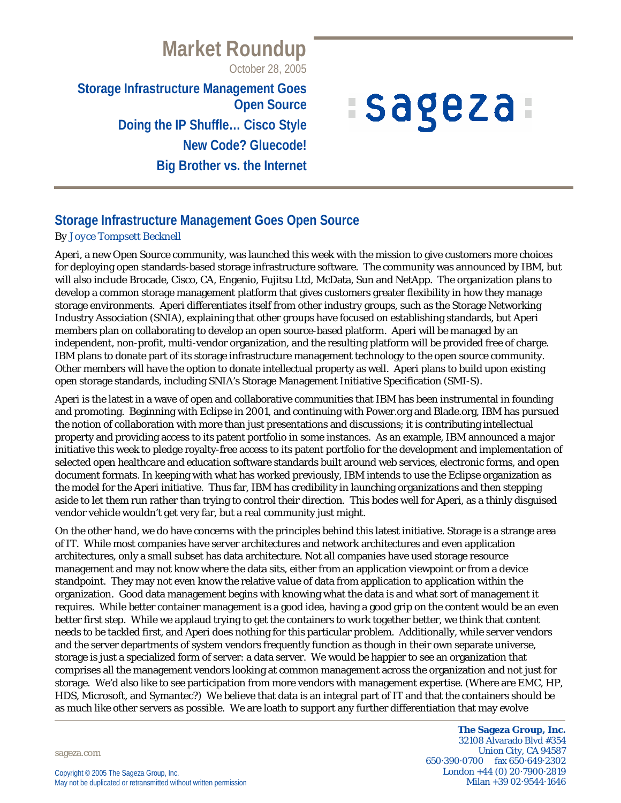# **Market Roundup**

October 28, 2005

**Storage Infrastructure Management Goes Open Source Doing the IP Shuffle… Cisco Style New Code? Gluecode! Big Brother vs. the Internet**

# *ISageza*

## **Storage Infrastructure Management Goes Open Source**

#### *By Joyce Tompsett Becknell*

Aperi, a new Open Source community, was launched this week with the mission to give customers more choices for deploying open standards-based storage infrastructure software. The community was announced by IBM, but will also include Brocade, Cisco, CA, Engenio, Fujitsu Ltd, McData, Sun and NetApp. The organization plans to develop a common storage management platform that gives customers greater flexibility in how they manage storage environments. Aperi differentiates itself from other industry groups, such as the Storage Networking Industry Association (SNIA), explaining that other groups have focused on establishing standards, but Aperi members plan on collaborating to develop an open source-based platform. Aperi will be managed by an independent, non-profit, multi-vendor organization, and the resulting platform will be provided free of charge. IBM plans to donate part of its storage infrastructure management technology to the open source community. Other members will have the option to donate intellectual property as well. Aperi plans to build upon existing open storage standards, including SNIA's Storage Management Initiative Specification (SMI-S).

Aperi is the latest in a wave of open and collaborative communities that IBM has been instrumental in founding and promoting. Beginning with Eclipse in 2001, and continuing with Power.org and Blade.org, IBM has pursued the notion of collaboration with more than just presentations and discussions; it is contributing intellectual property and providing access to its patent portfolio in some instances. As an example, IBM announced a major initiative this week to pledge royalty-free access to its patent portfolio for the development and implementation of selected open healthcare and education software standards built around web services, electronic forms, and open document formats. In keeping with what has worked previously, IBM intends to use the Eclipse organization as the model for the Aperi initiative. Thus far, IBM has credibility in launching organizations and then stepping aside to let them run rather than trying to control their direction. This bodes well for Aperi, as a thinly disguised vendor vehicle wouldn't get very far, but a real community just might.

On the other hand, we do have concerns with the principles behind this latest initiative. Storage is a strange area of IT. While most companies have server architectures and network architectures and even application architectures, only a small subset has data architecture. Not all companies have used storage resource management and may not know where the data sits, either from an application viewpoint or from a device standpoint. They may not even know the relative value of data from application to application within the organization. Good data management begins with knowing what the data is and what sort of management it requires. While better container management is a good idea, having a good grip on the content would be an even better first step. While we applaud trying to get the containers to work together better, we think that content needs to be tackled first, and Aperi does nothing for this particular problem. Additionally, while server vendors and the server departments of system vendors frequently function as though in their own separate universe, storage is just a specialized form of server: a data server. We would be happier to see an organization that comprises all the management vendors looking at common management across the organization and not just for storage. We'd also like to see participation from more vendors with management expertise. (Where are EMC, HP, HDS, Microsoft, and Symantec?) We believe that data is an integral part of IT and that the containers should be as much like other servers as possible. We are loath to support any further differentiation that may evolve

sageza.com

**The Sageza Group, Inc.** 32108 Alvarado Blvd #354 Union City, CA 94587 650·390·0700 fax 650·649·2302 London +44 (0) 20·7900·2819 Milan +39 02·9544·1646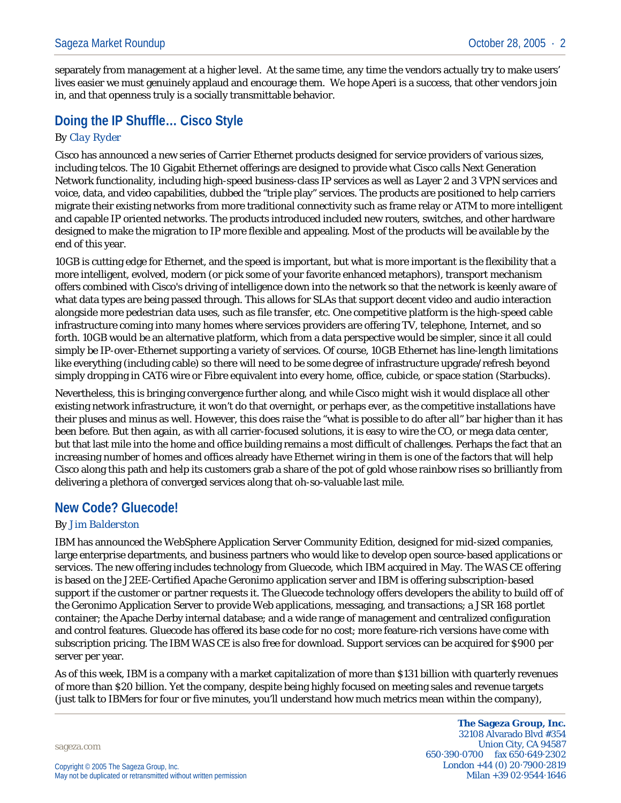separately from management at a higher level. At the same time, any time the vendors actually try to make users' lives easier we must genuinely applaud and encourage them. We hope Aperi is a success, that other vendors join in, and that openness truly is a socially transmittable behavior.

# **Doing the IP Shuffle… Cisco Style**

#### *By Clay Ryder*

Cisco has announced a new series of Carrier Ethernet products designed for service providers of various sizes, including telcos. The 10 Gigabit Ethernet offerings are designed to provide what Cisco calls Next Generation Network functionality, including high-speed business-class IP services as well as Layer 2 and 3 VPN services and voice, data, and video capabilities, dubbed the "triple play" services. The products are positioned to help carriers migrate their existing networks from more traditional connectivity such as frame relay or ATM to more intelligent and capable IP oriented networks. The products introduced included new routers, switches, and other hardware designed to make the migration to IP more flexible and appealing. Most of the products will be available by the end of this year.

10GB is cutting edge for Ethernet, and the speed is important, but what is more important is the flexibility that a more intelligent, evolved, modern (or pick some of your favorite enhanced metaphors), transport mechanism offers combined with Cisco's driving of intelligence down into the network so that the network is keenly aware of what data types are being passed through. This allows for SLAs that support decent video and audio interaction alongside more pedestrian data uses, such as file transfer, etc. One competitive platform is the high-speed cable infrastructure coming into many homes where services providers are offering TV, telephone, Internet, and so forth. 10GB would be an alternative platform, which from a data perspective would be simpler, since it all could simply be IP-over-Ethernet supporting a variety of services. Of course, 10GB Ethernet has line-length limitations like everything (including cable) so there will need to be some degree of infrastructure upgrade/refresh beyond simply dropping in CAT6 wire or Fibre equivalent into every home, office, cubicle, or space station (Starbucks).

Nevertheless, this is bringing convergence further along, and while Cisco might wish it would displace all other existing network infrastructure, it won't do that overnight, or perhaps ever, as the competitive installations have their pluses and minus as well. However, this does raise the "what is possible to do after all" bar higher than it has been before. But then again, as with all carrier-focused solutions, it is easy to wire the CO, or mega data center, but that last mile into the home and office building remains a most difficult of challenges. Perhaps the fact that an increasing number of homes and offices already have Ethernet wiring in them is one of the factors that will help Cisco along this path and help its customers grab a share of the pot of gold whose rainbow rises so brilliantly from delivering a plethora of converged services along that oh-so-valuable last mile.

#### **New Code? Gluecode!**

#### *By Jim Balderston*

IBM has announced the WebSphere Application Server Community Edition, designed for mid-sized companies, large enterprise departments, and business partners who would like to develop open source-based applications or services. The new offering includes technology from Gluecode, which IBM acquired in May. The WAS CE offering is based on the J2EE-Certified Apache Geronimo application server and IBM is offering subscription-based support if the customer or partner requests it. The Gluecode technology offers developers the ability to build off of the Geronimo Application Server to provide Web applications, messaging, and transactions; a JSR 168 portlet container; the Apache Derby internal database; and a wide range of management and centralized configuration and control features. Gluecode has offered its base code for no cost; more feature-rich versions have come with subscription pricing. The IBM WAS CE is also free for download. Support services can be acquired for \$900 per server per year.

As of this week, IBM is a company with a market capitalization of more than \$131 billion with quarterly revenues of more than \$20 billion. Yet the company, despite being highly focused on meeting sales and revenue targets (just talk to IBMers for four or five minutes, you'll understand how much metrics mean within the company),

sageza.com

**The Sageza Group, Inc.** 32108 Alvarado Blvd #354 Union City, CA 94587 650·390·0700 fax 650·649·2302 London +44 (0) 20·7900·2819 Milan +39 02·9544·1646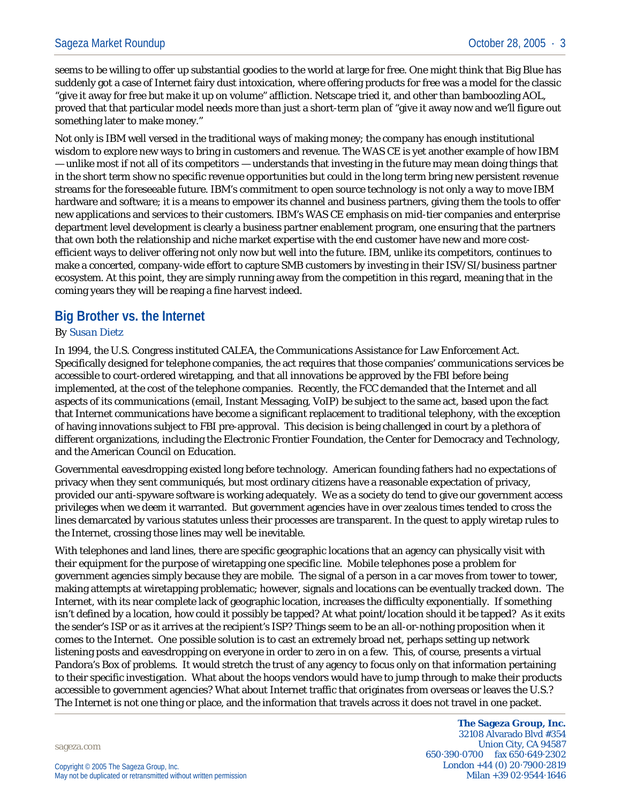seems to be willing to offer up substantial goodies to the world at large for free. One might think that Big Blue has suddenly got a case of Internet fairy dust intoxication, where offering products for free was a model for the classic "give it away for free but make it up on volume" affliction. Netscape tried it, and other than bamboozling AOL, proved that that particular model needs more than just a short-term plan of "give it away now and we'll figure out something later to make money."

Not only is IBM well versed in the traditional ways of making money; the company has enough institutional wisdom to explore new ways to bring in customers and revenue. The WAS CE is yet another example of how IBM — unlike most if not all of its competitors — understands that investing in the future may mean doing things that in the short term show no specific revenue opportunities but could in the long term bring new persistent revenue streams for the foreseeable future. IBM's commitment to open source technology is not only a way to move IBM hardware and software; it is a means to empower its channel and business partners, giving them the tools to offer new applications and services to their customers. IBM's WAS CE emphasis on mid-tier companies and enterprise department level development is clearly a business partner enablement program, one ensuring that the partners that own both the relationship and niche market expertise with the end customer have new and more costefficient ways to deliver offering not only now but well into the future. IBM, unlike its competitors, continues to make a concerted, company-wide effort to capture SMB customers by investing in their ISV/SI/business partner ecosystem. At this point, they are simply running away from the competition in this regard, meaning that in the coming years they will be reaping a fine harvest indeed.

### **Big Brother vs. the Internet**

#### *By Susan Dietz*

In 1994, the U.S. Congress instituted CALEA, the Communications Assistance for Law Enforcement Act. Specifically designed for telephone companies, the act requires that those companies' communications services be accessible to court-ordered wiretapping, and that all innovations be approved by the FBI before being implemented, at the cost of the telephone companies. Recently, the FCC demanded that the Internet and all aspects of its communications (email, Instant Messaging, VoIP) be subject to the same act, based upon the fact that Internet communications have become a significant replacement to traditional telephony, with the exception of having innovations subject to FBI pre-approval. This decision is being challenged in court by a plethora of different organizations, including the Electronic Frontier Foundation, the Center for Democracy and Technology, and the American Council on Education.

Governmental eavesdropping existed long before technology. American founding fathers had no expectations of privacy when they sent communiqués, but most ordinary citizens have a reasonable expectation of privacy, provided our anti-spyware software is working adequately. We as a society do tend to give our government access privileges when we deem it warranted. But government agencies have in over zealous times tended to cross the lines demarcated by various statutes unless their processes are transparent. In the quest to apply wiretap rules to the Internet, crossing those lines may well be inevitable.

With telephones and land lines, there are specific geographic locations that an agency can physically visit with their equipment for the purpose of wiretapping one specific line. Mobile telephones pose a problem for government agencies simply because they are mobile. The signal of a person in a car moves from tower to tower, making attempts at wiretapping problematic; however, signals and locations can be eventually tracked down. The Internet, with its near complete lack of geographic location, increases the difficulty exponentially. If something isn't defined by a location, how could it possibly be tapped? At what point/location should it be tapped? As it exits the sender's ISP or as it arrives at the recipient's ISP? Things seem to be an all-or-nothing proposition when it comes to the Internet. One possible solution is to cast an extremely broad net, perhaps setting up network listening posts and eavesdropping on everyone in order to zero in on a few. This, of course, presents a virtual Pandora's Box of problems. It would stretch the trust of any agency to focus only on that information pertaining to their specific investigation. What about the hoops vendors would have to jump through to make their products accessible to government agencies? What about Internet traffic that originates from overseas or leaves the U.S.? The Internet is not one thing or place, and the information that travels across it does not travel in one packet.

sageza.com

**The Sageza Group, Inc.** 32108 Alvarado Blvd #354 Union City, CA 94587 650·390·0700 fax 650·649·2302 London +44 (0) 20·7900·2819 Milan +39 02·9544·1646